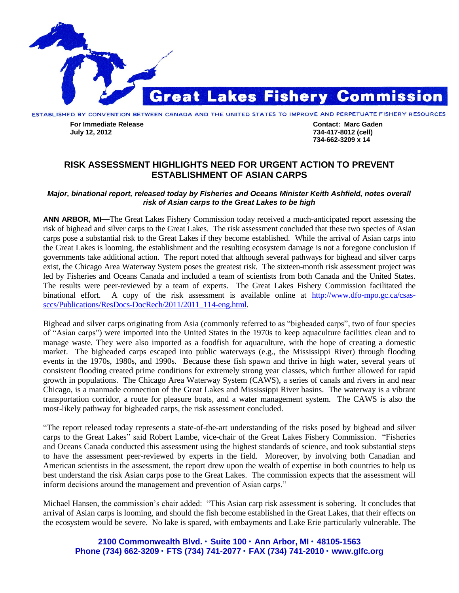

**For Immediate Release Contact: Marc Gaden July 12, 2012 734-417-8012 (cell)**

**734-662-3209 x 14**

## **RISK ASSESSMENT HIGHLIGHTS NEED FOR URGENT ACTION TO PREVENT ESTABLISHMENT OF ASIAN CARPS**

## *Major, binational report, released today by Fisheries and Oceans Minister Keith Ashfield, notes overall risk of Asian carps to the Great Lakes to be high*

**ANN ARBOR, MI—**The Great Lakes Fishery Commission today received a much-anticipated report assessing the risk of bighead and silver carps to the Great Lakes. The risk assessment concluded that these two species of Asian carps pose a substantial risk to the Great Lakes if they become established. While the arrival of Asian carps into the Great Lakes is looming, the establishment and the resulting ecosystem damage is not a foregone conclusion if governments take additional action. The report noted that although several pathways for bighead and silver carps exist, the Chicago Area Waterway System poses the greatest risk. The sixteen-month risk assessment project was led by Fisheries and Oceans Canada and included a team of scientists from both Canada and the United States. The results were peer-reviewed by a team of experts. The Great Lakes Fishery Commission facilitated the binational effort. A copy of the risk assessment is available online at [http://www.dfo-mpo.gc.ca/csas](http://www.dfo-mpo.gc.ca/csas-sccs/Publications/ResDocs-DocRech/2011/2011_114-eng.html)[sccs/Publications/ResDocs-DocRech/2011/2011\\_114-eng.html.](http://www.dfo-mpo.gc.ca/csas-sccs/Publications/ResDocs-DocRech/2011/2011_114-eng.html)

Bighead and silver carps originating from Asia (commonly referred to as "bigheaded carps", two of four species of "Asian carps") were imported into the United States in the 1970s to keep aquaculture facilities clean and to manage waste. They were also imported as a foodfish for aquaculture, with the hope of creating a domestic market. The bigheaded carps escaped into public waterways (e.g., the Mississippi River) through flooding events in the 1970s, 1980s, and 1990s. Because these fish spawn and thrive in high water, several years of consistent flooding created prime conditions for extremely strong year classes, which further allowed for rapid growth in populations. The Chicago Area Waterway System (CAWS), a series of canals and rivers in and near Chicago, is a manmade connection of the Great Lakes and Mississippi River basins. The waterway is a vibrant transportation corridor, a route for pleasure boats, and a water management system. The CAWS is also the most-likely pathway for bigheaded carps, the risk assessment concluded.

"The report released today represents a state-of-the-art understanding of the risks posed by bighead and silver carps to the Great Lakes" said Robert Lambe, vice-chair of the Great Lakes Fishery Commission. "Fisheries and Oceans Canada conducted this assessment using the highest standards of science, and took substantial steps to have the assessment peer-reviewed by experts in the field. Moreover, by involving both Canadian and American scientists in the assessment, the report drew upon the wealth of expertise in both countries to help us best understand the risk Asian carps pose to the Great Lakes. The commission expects that the assessment will inform decisions around the management and prevention of Asian carps."

Michael Hansen, the commission's chair added: "This Asian carp risk assessment is sobering. It concludes that arrival of Asian carps is looming, and should the fish become established in the Great Lakes, that their effects on the ecosystem would be severe. No lake is spared, with embayments and Lake Erie particularly vulnerable. The

**2100 Commonwealth Blvd. Suite 100 Ann Arbor, MI 48105-1563 Phone (734) 662-3209 FTS (734) 741-2077 FAX (734) 741-2010 www.glfc.org**